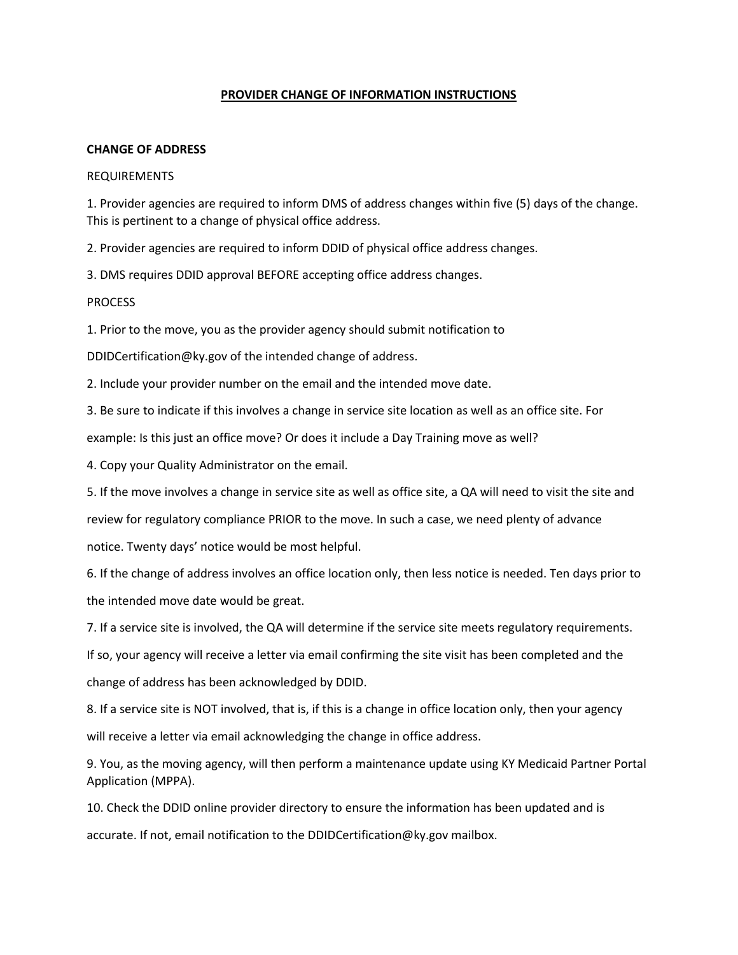## **PROVIDER CHANGE OF INFORMATION INSTRUCTIONS**

## **CHANGE OF ADDRESS**

#### REQUIREMENTS

1. Provider agencies are required to inform DMS of address changes within five (5) days of the change. This is pertinent to a change of physical office address.

2. Provider agencies are required to inform DDID of physical office address changes.

3. DMS requires DDID approval BEFORE accepting office address changes.

PROCESS

1. Prior to the move, you as the provider agency should submit notification to

DDIDCertification@ky.gov of the intended change of address.

2. Include your provider number on the email and the intended move date.

3. Be sure to indicate if this involves a change in service site location as well as an office site. For

example: Is this just an office move? Or does it include a Day Training move as well?

4. Copy your Quality Administrator on the email.

5. If the move involves a change in service site as well as office site, a QA will need to visit the site and

review for regulatory compliance PRIOR to the move. In such a case, we need plenty of advance notice. Twenty days' notice would be most helpful.

6. If the change of address involves an office location only, then less notice is needed. Ten days prior to the intended move date would be great.

7. If a service site is involved, the QA will determine if the service site meets regulatory requirements.

If so, your agency will receive a letter via email confirming the site visit has been completed and the change of address has been acknowledged by DDID.

8. If a service site is NOT involved, that is, if this is a change in office location only, then your agency will receive a letter via email acknowledging the change in office address.

9. You, as the moving agency, will then perform a maintenance update using KY Medicaid Partner Portal Application (MPPA).

10. Check the DDID online provider directory to ensure the information has been updated and is accurate. If not, email notification to the DDIDCertification@ky.gov mailbox.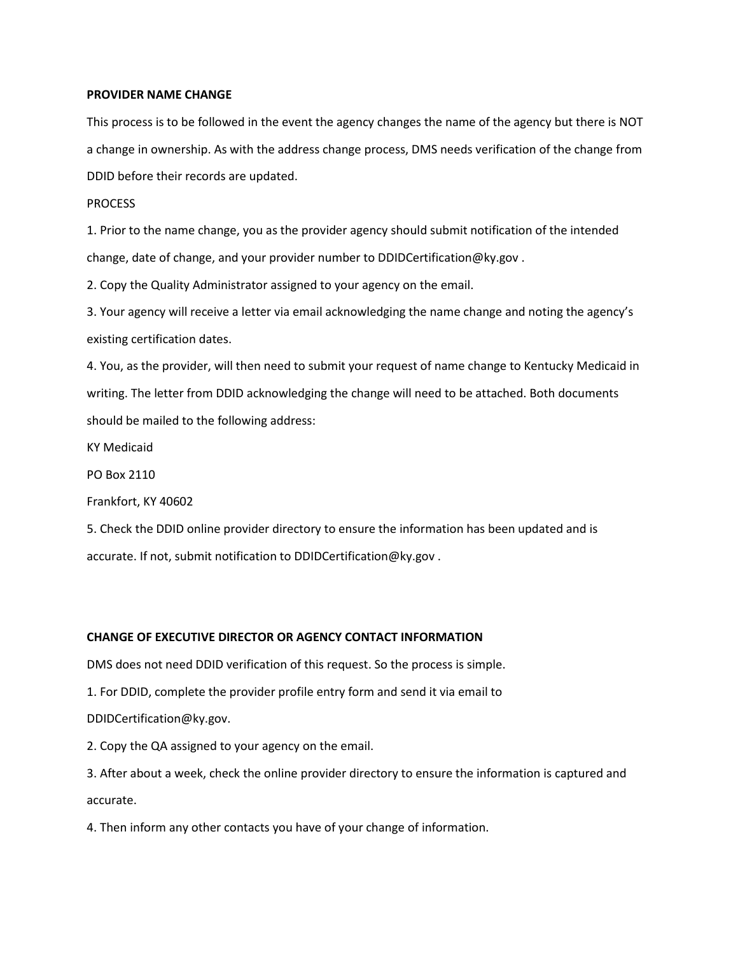### **PROVIDER NAME CHANGE**

This process is to be followed in the event the agency changes the name of the agency but there is NOT a change in ownership. As with the address change process, DMS needs verification of the change from DDID before their records are updated.

#### **PROCESS**

1. Prior to the name change, you as the provider agency should submit notification of the intended change, date of change, and your provider number to DDIDCertification@ky.gov .

2. Copy the Quality Administrator assigned to your agency on the email.

3. Your agency will receive a letter via email acknowledging the name change and noting the agency's existing certification dates.

4. You, as the provider, will then need to submit your request of name change to Kentucky Medicaid in writing. The letter from DDID acknowledging the change will need to be attached. Both documents should be mailed to the following address:

KY Medicaid

PO Box 2110

Frankfort, KY 40602

5. Check the DDID online provider directory to ensure the information has been updated and is accurate. If not, submit notification to DDIDCertification@ky.gov .

# **CHANGE OF EXECUTIVE DIRECTOR OR AGENCY CONTACT INFORMATION**

DMS does not need DDID verification of this request. So the process is simple.

1. For DDID, complete the provider profile entry form and send it via email to

DDIDCertification@ky.gov.

2. Copy the QA assigned to your agency on the email.

3. After about a week, check the online provider directory to ensure the information is captured and accurate.

4. Then inform any other contacts you have of your change of information.